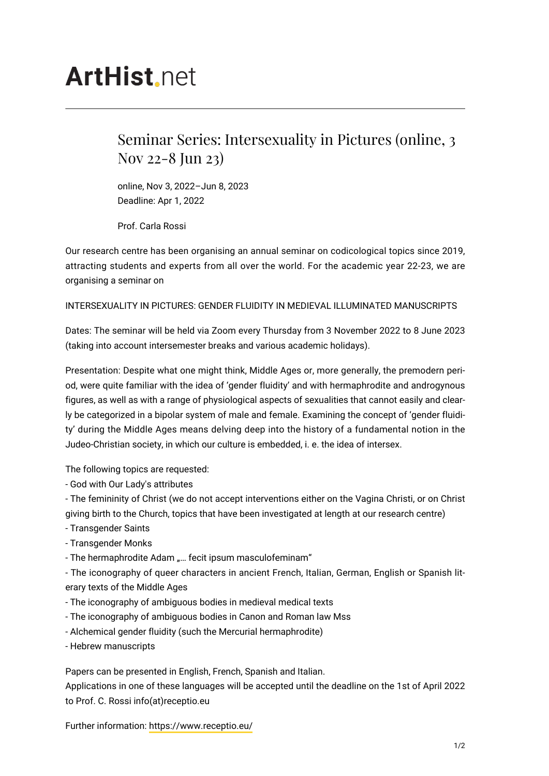## **ArtHist** net

## Seminar Series: Intersexuality in Pictures (online, 3 Nov 22-8 Jun 23)

online, Nov 3, 2022–Jun 8, 2023 Deadline: Apr 1, 2022

Prof. Carla Rossi

Our research centre has been organising an annual seminar on codicological topics since 2019, attracting students and experts from all over the world. For the academic year 22-23, we are organising a seminar on

## INTERSEXUALITY IN PICTURES: GENDER FLUIDITY IN MEDIEVAL ILLUMINATED MANUSCRIPTS

Dates: The seminar will be held via Zoom every Thursday from 3 November 2022 to 8 June 2023 (taking into account intersemester breaks and various academic holidays).

Presentation: Despite what one might think, Middle Ages or, more generally, the premodern period, were quite familiar with the idea of 'gender fluidity' and with hermaphrodite and androgynous figures, as well as with a range of physiological aspects of sexualities that cannot easily and clearly be categorized in a bipolar system of male and female. Examining the concept of 'gender fluidity' during the Middle Ages means delving deep into the history of a fundamental notion in the Judeo-Christian society, in which our culture is embedded, i. e. the idea of intersex.

The following topics are requested:

- God with Our Lady's attributes

- The femininity of Christ (we do not accept interventions either on the Vagina Christi, or on Christ giving birth to the Church, topics that have been investigated at length at our research centre)

- Transgender Saints

- Transgender Monks

- The hermaphrodite Adam "... fecit ipsum masculofeminam"

- The iconography of queer characters in ancient French, Italian, German, English or Spanish literary texts of the Middle Ages

- The iconography of ambiguous bodies in medieval medical texts
- The iconography of ambiguous bodies in Canon and Roman law Mss
- Alchemical gender fluidity (such the Mercurial hermaphrodite)
- Hebrew manuscripts

Papers can be presented in English, French, Spanish and Italian.

Applications in one of these languages will be accepted until the deadline on the 1st of April 2022 to Prof. C. Rossi info(at)receptio.eu

Further information: <https://www.receptio.eu/>